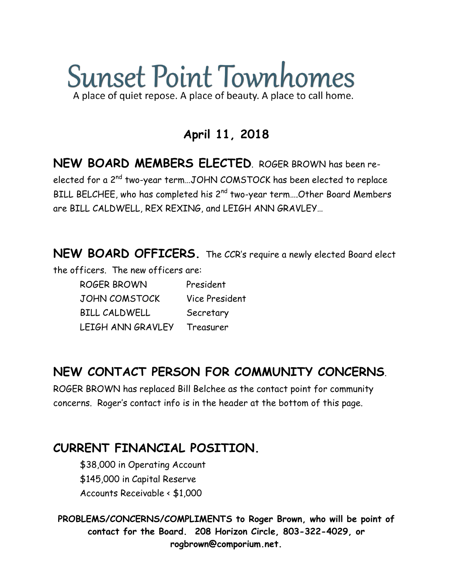# **Sunset Point Townhomes** A place of quiet repose. A place of beauty. A place to call home.

**April 11, 2018**

**NEW BOARD MEMBERS ELECTED**. ROGER BROWN has been reelected for a 2nd two-year term…JOHN COMSTOCK has been elected to replace BILL BELCHEE, who has completed his 2<sup>nd</sup> two-year term....Other Board Members are BILL CALDWELL, REX REXING, and LEIGH ANN GRAVLEY…

**NEW BOARD OFFICERS.** The CCR's require a newly elected Board elect

the officers. The new officers are:

ROGER BROWN President JOHN COMSTOCK Vice President BILL CALDWELL Secretary LEIGH ANN GRAVLEY Treasurer

### **NEW CONTACT PERSON FOR COMMUNITY CONCERNS**.

ROGER BROWN has replaced Bill Belchee as the contact point for community concerns. Roger's contact info is in the header at the bottom of this page.

#### **CURRENT FINANCIAL POSITION.**

\$38,000 in Operating Account \$145,000 in Capital Reserve Accounts Receivable < \$1,000

**PROBLEMS/CONCERNS/COMPLIMENTS to Roger Brown, who will be point of contact for the Board. 208 Horizon Circle, 803-322-4029, or rogbrown@comporium.net.**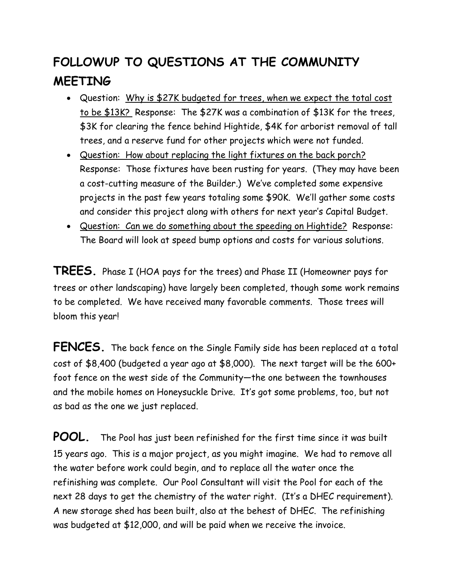## **FOLLOWUP TO QUESTIONS AT THE COMMUNITY MEETING**

- Question: Why is \$27K budgeted for trees, when we expect the total cost to be \$13K? Response: The \$27K was a combination of \$13K for the trees, \$3K for clearing the fence behind Hightide, \$4K for arborist removal of tall trees, and a reserve fund for other projects which were not funded.
- Question: How about replacing the light fixtures on the back porch? Response: Those fixtures have been rusting for years. (They may have been a cost-cutting measure of the Builder.) We've completed some expensive projects in the past few years totaling some \$90K. We'll gather some costs and consider this project along with others for next year's Capital Budget.
- Question: Can we do something about the speeding on Hightide? Response: The Board will look at speed bump options and costs for various solutions.

**TREES.** Phase I (HOA pays for the trees) and Phase II (Homeowner pays for trees or other landscaping) have largely been completed, though some work remains to be completed. We have received many favorable comments. Those trees will bloom this year!

**FENCES.** The back fence on the Single Family side has been replaced at a total cost of \$8,400 (budgeted a year ago at \$8,000). The next target will be the 600+ foot fence on the west side of the Community—the one between the townhouses and the mobile homes on Honeysuckle Drive. It's got some problems, too, but not as bad as the one we just replaced.

**POOL.** The Pool has just been refinished for the first time since it was built 15 years ago. This is a major project, as you might imagine. We had to remove all the water before work could begin, and to replace all the water once the refinishing was complete. Our Pool Consultant will visit the Pool for each of the next 28 days to get the chemistry of the water right. (It's a DHEC requirement). A new storage shed has been built, also at the behest of DHEC. The refinishing was budgeted at \$12,000, and will be paid when we receive the invoice.